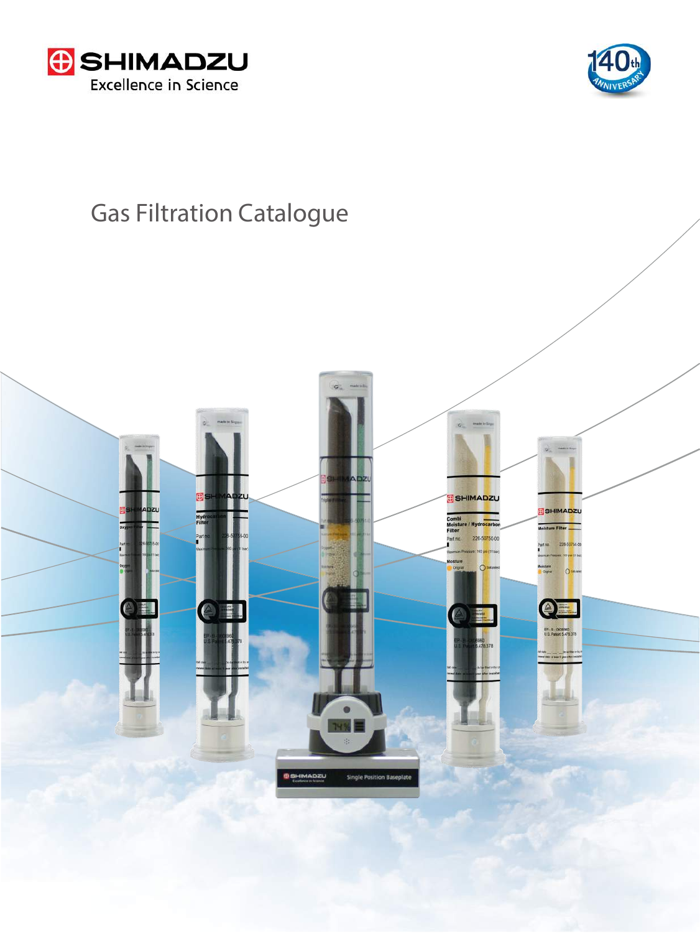



# Gas Filtration Catalogue

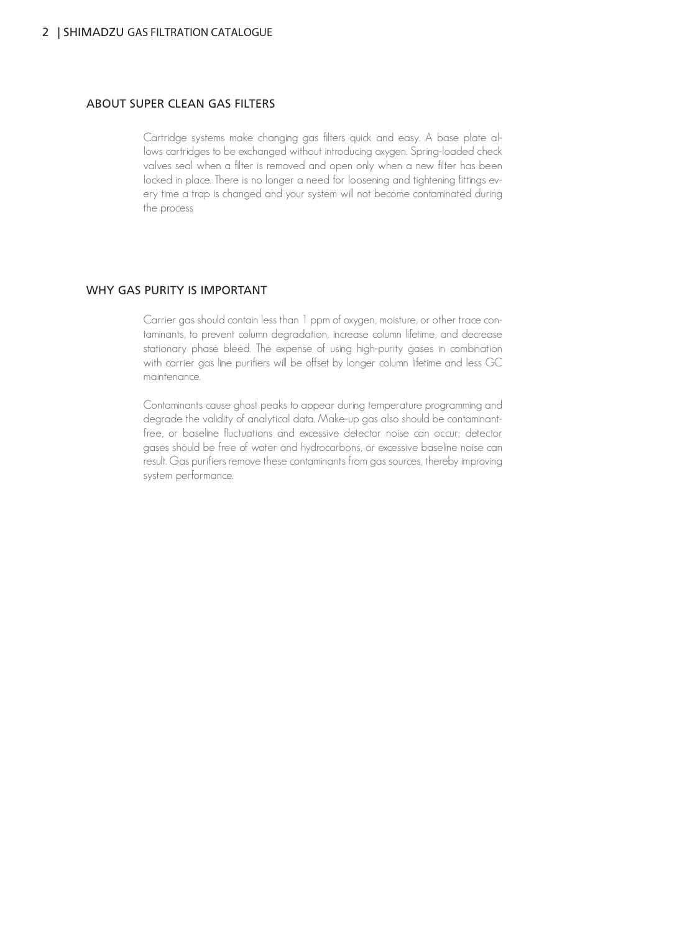#### ABOUT SUPER CLEAN GAS FILTERS

Cartridge systems make changing gas filters quick and easy. A base plate allows cartridges to be exchanged without introducing oxygen. Spring-loaded check valves seal when a filter is removed and open only when a new filter has been locked in place. There is no longer a need for loosening and tightening fittings every time a trap is changed and your system will not become contaminated during the process

### WHY GAS PURITY IS IMPORTANT

Carrier gas should contain less than 1 ppm of oxygen, moisture, or other trace contaminants, to prevent column degradation, increase column lifetime, and decrease stationary phase bleed. The expense of using high-purity gases in combination with carrier gas line purifiers will be offset by longer column lifetime and less GC maintenance.

Contaminants cause ghost peaks to appear during temperature programming and degrade the validity of analytical data. Make-up gas also should be contaminantfree, or baseline fluctuations and excessive detector noise can occur; detector gases should be free of water and hydrocarbons, or excessive baseline noise can result. Gas purifiers remove these contaminants from gas sources, thereby improving system performance.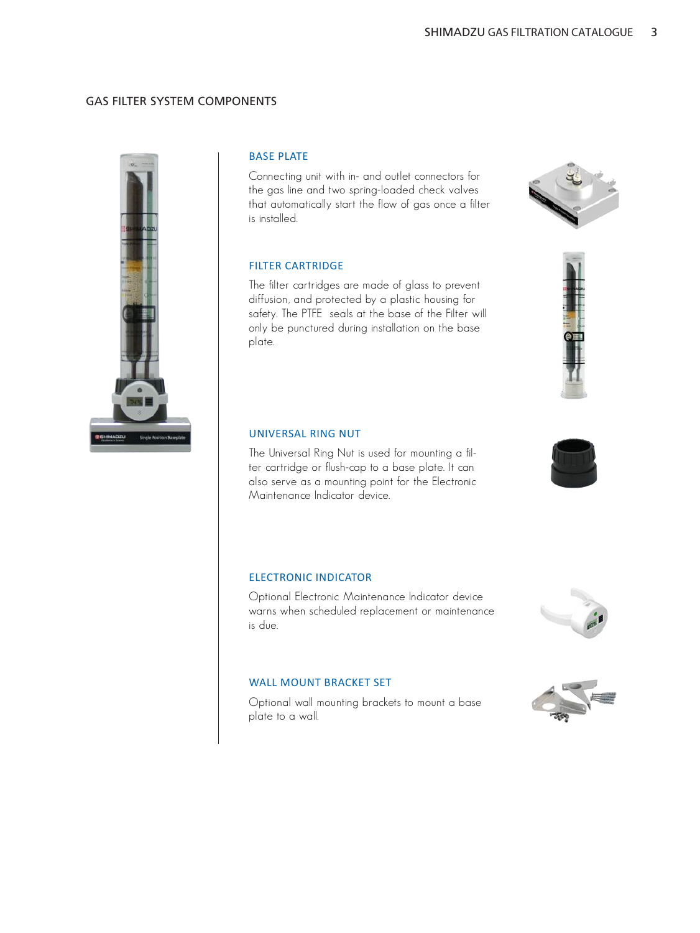#### GAS FILTER SYSTEM COMPONENTS



#### BASE PLATE

Connecting unit with in- and outlet connectors for the gas line and two spring-loaded check valves that automatically start the flow of gas once a filter is installed.

### FILTER CARTRIDGE

The filter cartridges are made of glass to prevent diffusion, and protected by a plastic housing for safety. The PTFE seals at the base of the Filter will only be punctured during installation on the base plate.

### UNIVERSAL RING NUT

The Universal Ring Nut is used for mounting a filter cartridge or flush-cap to a base plate. It can also serve as a mounting point for the Electronic Maintenance Indicator device.

#### ELECTRONIC INDICATOR

Optional Electronic Maintenance Indicator device warns when scheduled replacement or maintenance is due.

#### WALL MOUNT BRACKET SET

Optional wall mounting brackets to mount a base plate to a wall.



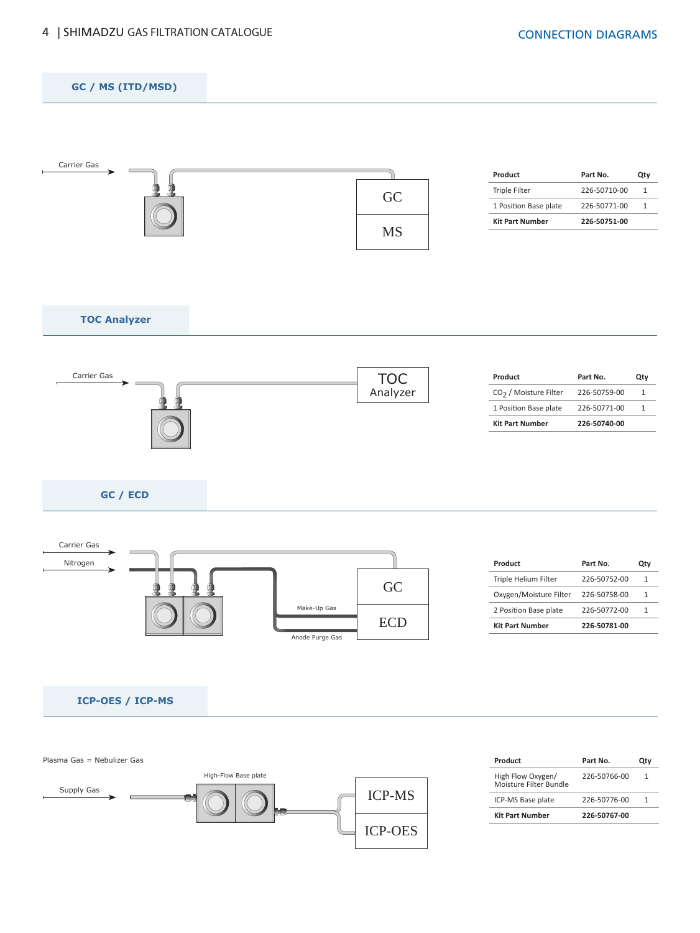



| 226-50766-00 | 1        |
|--------------|----------|
| 226-50776-00 |          |
| 226-50767-00 |          |
|              | Part No. |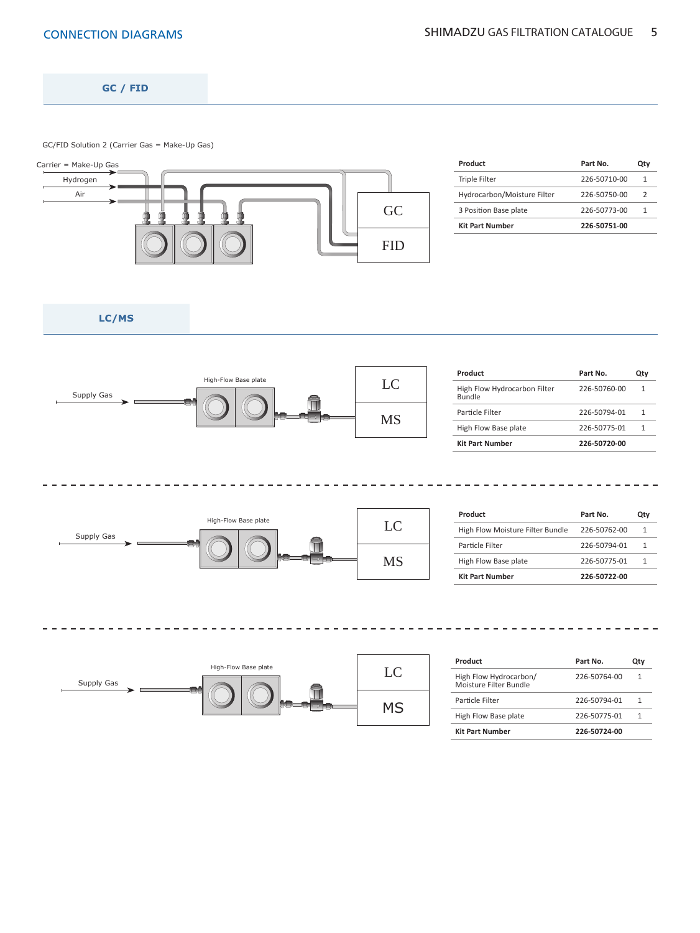**GC / FID**

GC/FID Solution 2 (Carrier Gas = Make-Up Gas)



| Product                     | Part No.     | Qtv           |
|-----------------------------|--------------|---------------|
| <b>Triple Filter</b>        | 226-50710-00 | 1             |
| Hydrocarbon/Moisture Filter | 226-50750-00 | $\mathcal{P}$ |
| 3 Position Base plate       | 226-50773-00 | 1             |
| <b>Kit Part Number</b>      | 226-50751-00 |               |

**LC/MS**

 $\frac{1}{2}$  $\overline{a}$ 



| Product                                       | Part No.     | Otv |
|-----------------------------------------------|--------------|-----|
| High Flow Hydrocarbon Filter<br><b>Bundle</b> | 226-50760-00 | 1   |
| Particle Filter                               | 226-50794-01 | 1   |
| High Flow Base plate                          | 226-50775-01 | 1   |
| <b>Kit Part Number</b>                        | 226-50720-00 |     |



| Product                          | Part No.     | Qtv |
|----------------------------------|--------------|-----|
| High Flow Moisture Filter Bundle | 226-50762-00 | 1   |
| Particle Filter                  | 226-50794-01 | 1   |
| High Flow Base plate             | 226-50775-01 | 1   |
| <b>Kit Part Number</b>           | 226-50722-00 |     |

 $\frac{1}{2}$ 



| Product                                          | Part No.     | Otv |
|--------------------------------------------------|--------------|-----|
| High Flow Hydrocarbon/<br>Moisture Filter Bundle | 226-50764-00 | 1   |
| Particle Filter                                  | 226-50794-01 |     |
| High Flow Base plate                             | 226-50775-01 |     |
| <b>Kit Part Number</b>                           | 226-50724-00 |     |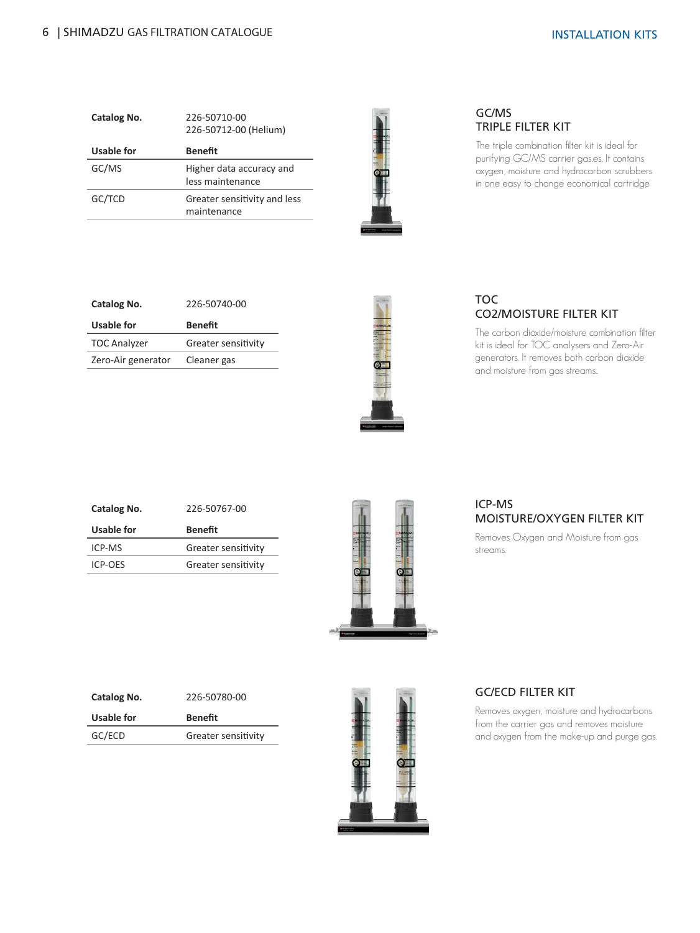| Catalog No.       | 226-50710-00<br>226-50712-00 (Helium)        |
|-------------------|----------------------------------------------|
| <b>Usable for</b> | <b>Benefit</b>                               |
| GC/MS             | Higher data accuracy and<br>less maintenance |
| GC/TCD            | Greater sensitivity and less<br>maintenance  |



# GC/MS TRIPLE FILTER KIT

The triple combination filter kit is ideal for purifying GC/MS carrier gas.es. It contains oxygen, moisture and hydrocarbon scrubbers in one easy to change economical cartridge

| Catalog No.         | 226-50740-00        |
|---------------------|---------------------|
| Usable for          | Benefit             |
| <b>TOC Analyzer</b> | Greater sensitivity |
| Zero-Air generator  | Cleaner gas         |



# TOC CO2/MOISTURE FILTER KIT

The carbon dioxide/moisture combination filter kit is ideal for TOC analysers and Zero-Air generators. It removes both carbon dioxide and moisture from gas streams..

| Catalog No. | 226-50767-00        |
|-------------|---------------------|
| Usable for  | Benefit             |
| ICP-MS      | Greater sensitivity |
| ICP-OES     | Greater sensitivity |
|             |                     |



# ICP-MS MOISTURE/OXYGEN FILTER KIT

Removes Oxygen and Moisture from gas streams.

| Catalog No. | 226-50780-00        |
|-------------|---------------------|
| Usable for  | <b>Benefit</b>      |
| GC/ECD      | Greater sensitivity |



# GC/ECD FILTER KIT

Removes oxygen, moisture and hydrocarbons from the carrier gas and removes moisture and oxygen from the make-up and purge gas.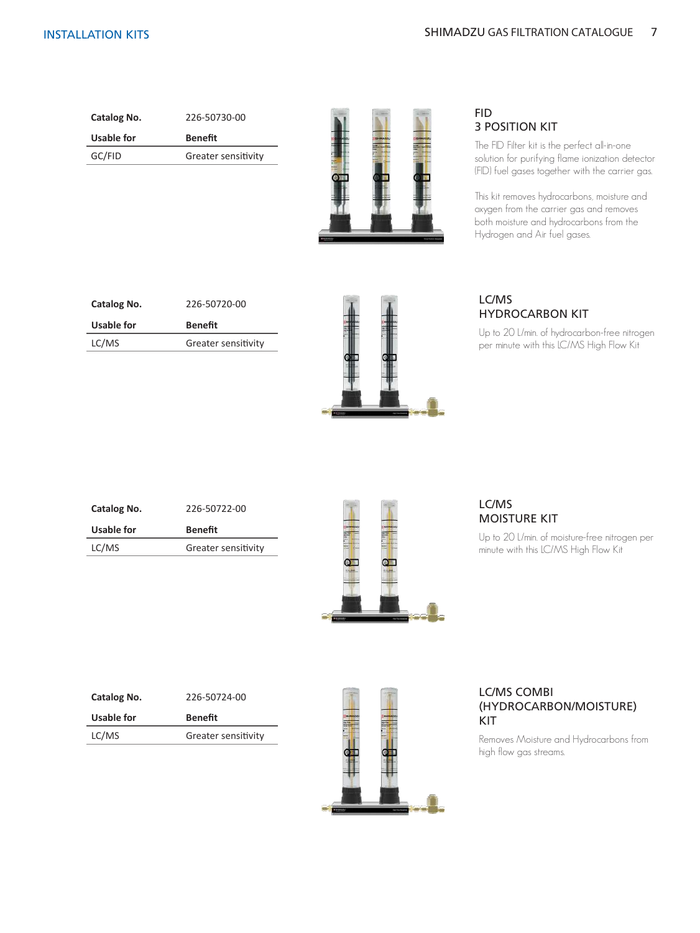| Catalog No. | 226-50730-00        |
|-------------|---------------------|
| Usable for  | Benefit             |
| GC/FID      | Greater sensitivity |
|             |                     |



# FID 3 POSITION KIT

The FID Filter kit is the perfect all-in-one solution for purifying flame ionization detector (FID) fuel gases together with the carrier gas.

This kit removes hydrocarbons, moisture and oxygen from the carrier gas and removes both moisture and hydrocarbons from the Hydrogen and Air fuel gases.

| Catalog No. | 226-50720-00        |
|-------------|---------------------|
| Usable for  | <b>Benefit</b>      |
| LC/MS       | Greater sensitivity |



# LC/MS HYDROCARBON KIT

Up to 20 L/min. of hydrocarbon-free nitrogen per minute with this LC/MS High Flow Kit

| Catalog No. | 226-50722-00        |
|-------------|---------------------|
| Usable for  | Benefit             |
| LC/MS       | Greater sensitivity |
|             |                     |



# LC/MS MOISTURE KIT

Up to 20 L/min. of moisture-free nitrogen per minute with this LC/MS High Flow Kit

| Catalog No. | 226-50724-00        |
|-------------|---------------------|
| Usable for  | Benefit             |
| LC/MS       | Greater sensitivity |
|             |                     |



# LC/MS COMBI (HYDROCARBON/MOISTURE) KIT

Removes Moisture and Hydrocarbons from high flow gas streams.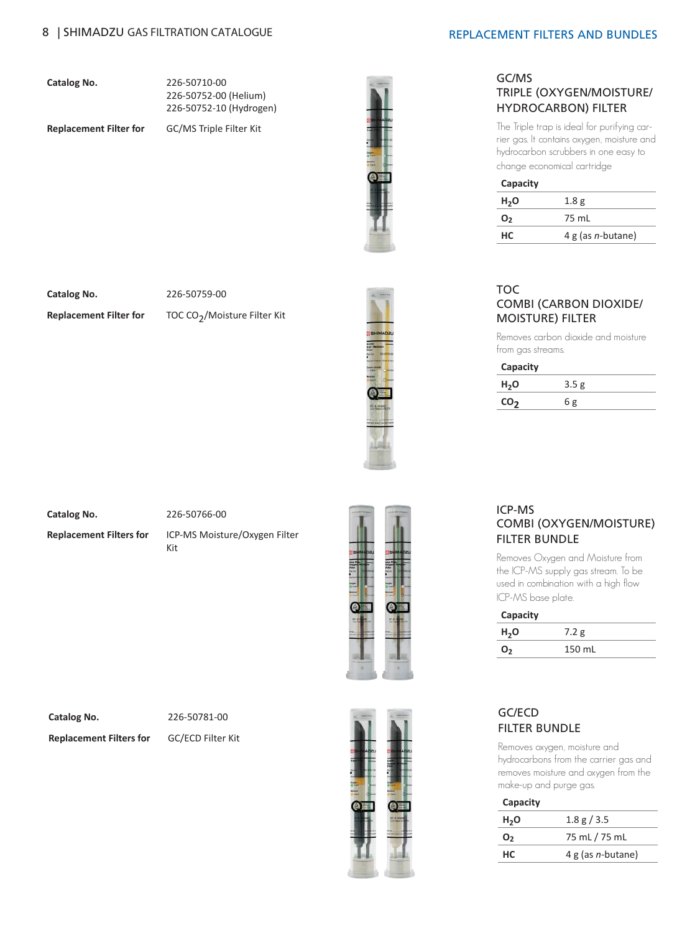**Catalog No.** 226-50710-00 226-50752-00 (Helium) 226-50752-10 (Hydrogen)

**Replacement Filter for** GC/MS Triple Filter Kit



**Catalog No.** 226-50759-00

**Replacement Filter for** TOC CO<sub>2</sub>/Moisture Filter Kit



#### **Catalog No.** 226-50766-00

**Replacement Filters for** ICP-MS Moisture/Oxygen Filter

Kit



**Catalog No.** 226-50781-00

**Replacement Filters for** GC/ECD Filter Kit



#### REPLACEMENT FILTERS AND BUNDLES

### GC/MS TRIPLE (OXYGEN/MOISTURE/ HYDROCARBON) FILTER

The Triple trap is ideal for purifying carrier gas. It contains oxygen, moisture and hydrocarbon scrubbers in one easy to change economical cartridge

| Capacity         |                      |
|------------------|----------------------|
| H <sub>2</sub> O | 1.8 <sub>g</sub>     |
| 0,               | 75 mL                |
| нc               | 4 g (as $n$ -butane) |

### TOC COMBI (CARBON DIOXIDE/ MOISTURE) FILTER

Removes carbon dioxide and moisture from gas streams.

**Capacity**

| $H_2O$ | 3.5 <sub>g</sub> |  |
|--------|------------------|--|
| CO-    | ნ ჲ              |  |

# ICP-MS COMBI (OXYGEN/MOISTURE) FILTER BUNDLE

Removes Oxygen and Moisture from the ICP-MS supply gas stream. To be used in combination with a high flow ICP-MS base plate.

| Capacity         |        |  |
|------------------|--------|--|
| H <sub>2</sub> O | 7.2 g  |  |
| O <sub>2</sub>   | 150 mL |  |

# GC/ECD FILTER BUNDLE

Removes oxygen, moisture and hydrocarbons from the carrier gas and removes moisture and oxygen from the make-up and purge gas.

| Capacity         |                      |
|------------------|----------------------|
| H <sub>2</sub> O | 1.8 g / 3.5          |
| O <sub>2</sub>   | 75 mL / 75 mL        |
| нc               | 4 g (as $n$ -butane) |
|                  |                      |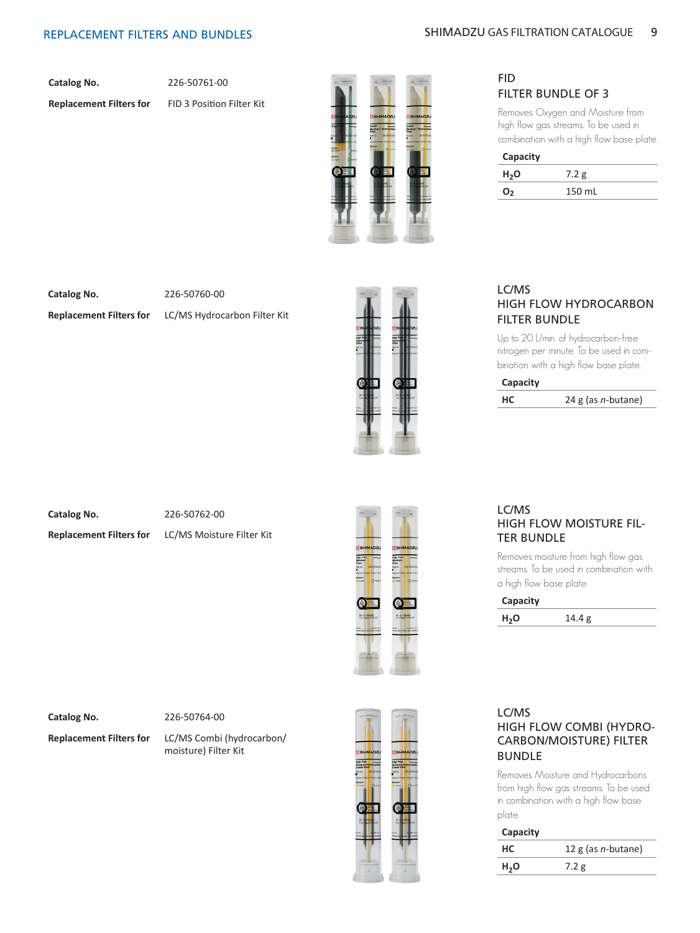**Catalog No.** 226-50761-00

**Replacement Filters for** FID 3 Position Filter Kit



# FID FILTER BUNDLE OF 3

Removes Oxygen and Moisture from high flow gas streams. To be used in combination with a high flow base plate.

| Capacity         |        |
|------------------|--------|
| H <sub>2</sub> O | 7.2 g  |
| O <sub>2</sub>   | 150 mL |

**Catalog No.** 226-50760-00

**Replacement Filters for** LC/MS Hydrocarbon Filter Kit



# LC/MS HIGH FLOW HYDROCARBON FILTER BUNDLE

Up to 20 L/min. of hydrocarbon-free nitrogen per minute. To be used in combination with a high flow base plate.

**Capacity**

**HC** 24 g (as *n-*butane)

**Catalog No.** 226-50762-00

**Replacement Filters for** LC/MS Moisture Filter Kit



### LC/MS HIGH FLOW MOISTURE FIL-TER BUNDLE

Removes moisture from high flow gas streams. To be used in combination with a high flow base plate.

| Capacity         |        |
|------------------|--------|
| H <sub>2</sub> O | 14.4 g |

**Catalog No.** 226-50764-00

**Replacement Filters for** LC/MS Combi (hydrocarbon/ moisture) Filter Kit



# LC/MS HIGH FLOW COMBI (HYDRO-CARBON/MOISTURE) FILTER BUNDLE

Removes Moisture and Hydrocarbons from high flow gas streams. To be used in combination with a high flow base plate.

#### **Capacity**

| HС               | 12 $g$ (as <i>n</i> -butane) |
|------------------|------------------------------|
| H <sub>2</sub> O | 1.2 g                        |
|                  |                              |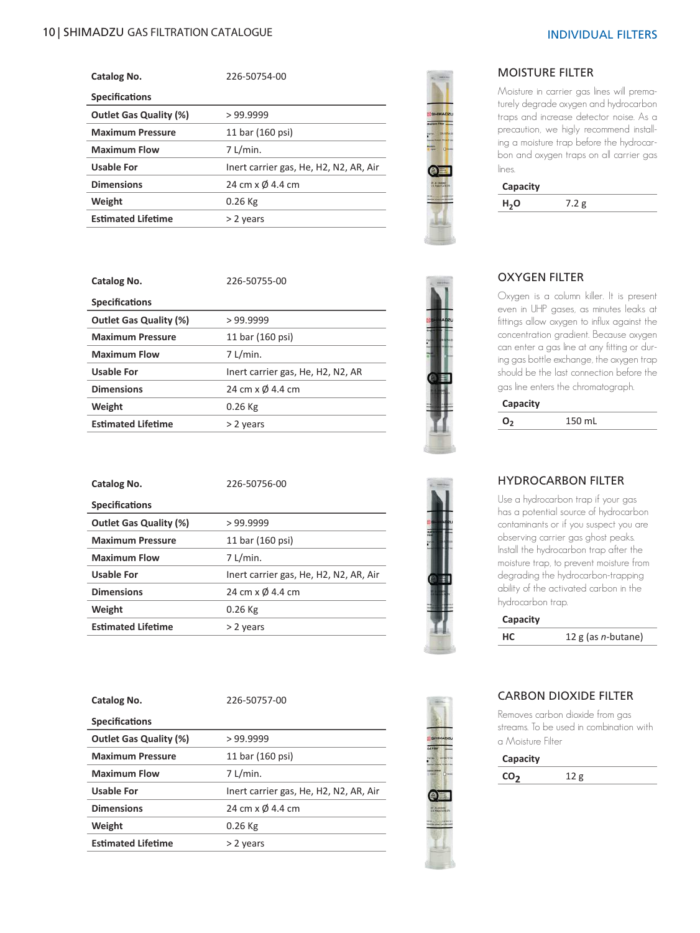# 10 | SHIMADZU GAS FILTRATION CATALOGUE NA SANTA EN SANTA EN DE LA SANTA EN DIVIDUAL FILTERS

| Catalog No.                   | 226-50754-00                           |
|-------------------------------|----------------------------------------|
| <b>Specifications</b>         |                                        |
| <b>Outlet Gas Quality (%)</b> | >99.9999                               |
| <b>Maximum Pressure</b>       | 11 bar (160 psi)                       |
| <b>Maximum Flow</b>           | $7$ L/min.                             |
| Usable For                    | Inert carrier gas, He, H2, N2, AR, Air |
| <b>Dimensions</b>             | 24 cm x Ø 4.4 cm                       |
| Weight                        | $0.26$ Kg                              |
| <b>Estimated Lifetime</b>     | > 2 years                              |

|                   | HMADZU    |  |  |
|-------------------|-----------|--|--|
|                   |           |  |  |
|                   | $O$ meson |  |  |
|                   |           |  |  |
| <b>U-E-Waller</b> |           |  |  |
|                   |           |  |  |
|                   |           |  |  |

# MOISTURE FILTER

Moisture in carrier gas lines will prematurely degrade oxygen and hydrocarbon traps and increase detector noise. As a precaution, we higly recommend installing a moisture trap before the hydrocarbon and oxygen traps on all carrier gas lines.

|                 | 24500<br><b>CONTRACT</b>        |  |
|-----------------|---------------------------------|--|
|                 | п                               |  |
| er n<br>٠<br>٠  | ٠<br>ı<br>m<br>×<br>ı<br>i<br>ı |  |
| ۰<br>-          | ı<br>۱                          |  |
| ٠<br><b>BEE</b> | ۱<br>۰                          |  |
|                 |                                 |  |
| ı               |                                 |  |

### OXYGEN FILTER

**H2O** 7.2 g

**Capacity**

Oxygen is a column killer. It is present even in UHP gases, as minutes leaks at fittings allow oxygen to influx against the concentration gradient. Because oxygen can enter a gas line at any fitting or during gas bottle exchange, the oxygen trap should be the last connection before the gas line enters the chromatograph.

#### **Capacity**

**O2** 150 mL



# HYDROCARBON FILTER

Use a hydrocarbon trap if your gas has a potential source of hydrocarbon contaminants or if you suspect you are observing carrier gas ghost peaks. Install the hydrocarbon trap after the moisture trap, to prevent moisture from degrading the hydrocarbon-trapping ability of the activated carbon in the hydrocarbon trap.

| Capacity |                       |
|----------|-----------------------|
| HC       | 12 g (as $n$ -butane) |



# CARBON DIOXIDE FILTER

Removes carbon dioxide from gas streams. To be used in combination with a Moisture Filter

**Capacity CO<sub>2</sub>** 12 g

| Catalog No.                   | 226-50755-00                      |
|-------------------------------|-----------------------------------|
| <b>Specifications</b>         |                                   |
| <b>Outlet Gas Quality (%)</b> | >99.9999                          |
| <b>Maximum Pressure</b>       | 11 bar (160 psi)                  |
| <b>Maximum Flow</b>           | 7 L/min.                          |
| <b>Usable For</b>             | Inert carrier gas, He, H2, N2, AR |
| <b>Dimensions</b>             | 24 cm x Ø 4.4 cm                  |
| Weight                        | $0.26$ Kg                         |
| <b>Estimated Lifetime</b>     | > 2 years                         |

| Catalog No.                   | 226-50756-00                           |
|-------------------------------|----------------------------------------|
| <b>Specifications</b>         |                                        |
| <b>Outlet Gas Quality (%)</b> | >99.9999                               |
| <b>Maximum Pressure</b>       | 11 bar (160 psi)                       |
| <b>Maximum Flow</b>           | $7$ L/min.                             |
| Usable For                    | Inert carrier gas, He, H2, N2, AR, Air |
| <b>Dimensions</b>             | 24 cm x Ø 4.4 cm                       |
| Weight                        | $0.26$ Kg                              |
| <b>Estimated Lifetime</b>     | > 2 years                              |

| Catalog No.                   | 226-50757-00                           |
|-------------------------------|----------------------------------------|
| <b>Specifications</b>         |                                        |
| <b>Outlet Gas Quality (%)</b> | >99.9999                               |
| <b>Maximum Pressure</b>       | 11 bar (160 psi)                       |
| <b>Maximum Flow</b>           | $7$ L/min.                             |
| Usable For                    | Inert carrier gas, He, H2, N2, AR, Air |
| <b>Dimensions</b>             | 24 cm x Ø 4.4 cm                       |
| Weight                        | $0.26$ Kg                              |
| <b>Estimated Lifetime</b>     | > 2 years                              |
|                               |                                        |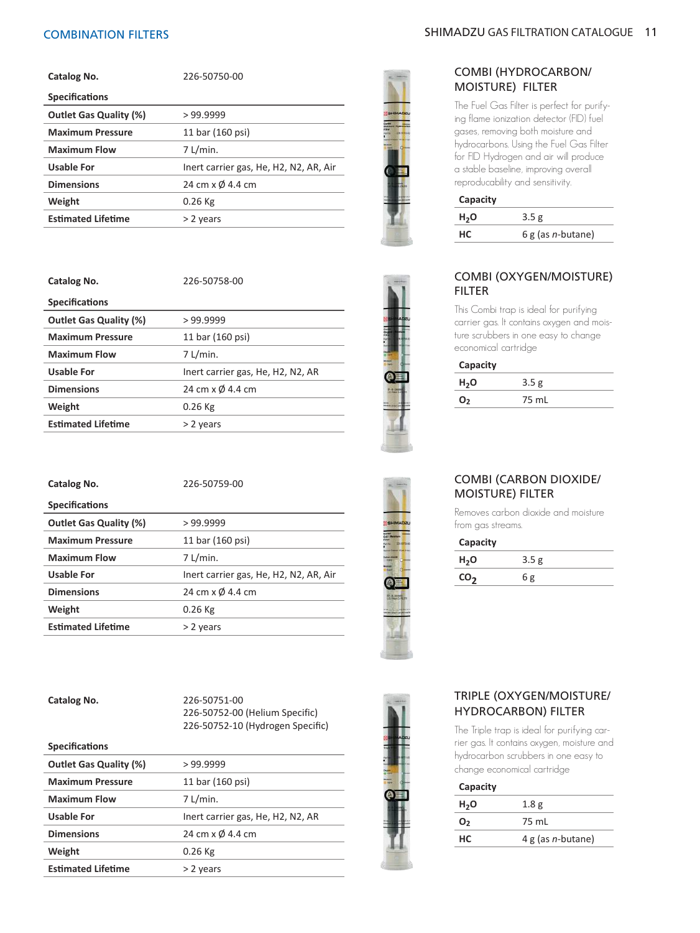| Catalog No.                   | 226-50750-00                           |
|-------------------------------|----------------------------------------|
| <b>Specifications</b>         |                                        |
| <b>Outlet Gas Quality (%)</b> | >99.9999                               |
| <b>Maximum Pressure</b>       | 11 bar (160 psi)                       |
| <b>Maximum Flow</b>           | $7$ L/min.                             |
| <b>Usable For</b>             | Inert carrier gas, He, H2, N2, AR, Air |
| <b>Dimensions</b>             | 24 cm x Ø 4.4 cm                       |
| Weight                        | $0.26$ Kg                              |
| <b>Estimated Lifetime</b>     | > 2 years                              |

| Catalog No.                   | 226-50758-00                      |
|-------------------------------|-----------------------------------|
| <b>Specifications</b>         |                                   |
| <b>Outlet Gas Quality (%)</b> | >99.9999                          |
| <b>Maximum Pressure</b>       | 11 bar (160 psi)                  |
| <b>Maximum Flow</b>           | $7$ L/min.                        |
| Usable For                    | Inert carrier gas, He, H2, N2, AR |
| <b>Dimensions</b>             | 24 cm x Ø 4.4 cm                  |
| Weight                        | $0.26$ Kg                         |
| <b>Estimated Lifetime</b>     | > 2 years                         |
|                               |                                   |

| Catalog No.                   | 226-50759-00                           |
|-------------------------------|----------------------------------------|
| <b>Specifications</b>         |                                        |
| <b>Outlet Gas Quality (%)</b> | >99.9999                               |
| <b>Maximum Pressure</b>       | 11 bar (160 psi)                       |
| <b>Maximum Flow</b>           | 7 L/min.                               |
| <b>Usable For</b>             | Inert carrier gas, He, H2, N2, AR, Air |
| <b>Dimensions</b>             | 24 cm x Ø 4.4 cm                       |
| Weight                        | $0.26$ Kg                              |
| <b>Estimated Lifetime</b>     | > 2 years                              |

**Catalog No.** 226-50751-00 226-50752-00 (Helium Specific) 226-50752-10 (Hydrogen Specific)

#### **Specifications**

| <b>Outlet Gas Quality (%)</b> | >99.9999                          |
|-------------------------------|-----------------------------------|
| <b>Maximum Pressure</b>       | 11 bar (160 psi)                  |
| <b>Maximum Flow</b>           | $7$ L/min.                        |
| <b>Usable For</b>             | Inert carrier gas, He, H2, N2, AR |
| <b>Dimensions</b>             | 24 cm x $\varnothing$ 4.4 cm      |
| Weight                        | $0.26$ Kg                         |
| <b>Estimated Lifetime</b>     | > 2 years                         |



# COMBI (HYDROCARBON/ MOISTURE) FILTER

The Fuel Gas Filter is perfect for purifying flame ionization detector (FID) fuel gases, removing both moisture and hydrocarbons. Using the Fuel Gas Filter for FID Hydrogen and air will produce a stable baseline, improving overall reproducability and sensitivity.

#### **Capacity**

| .                |                            |
|------------------|----------------------------|
| H <sub>2</sub> O | 3.5g                       |
| HС               | $6g$ (as <i>n</i> -butane) |
|                  |                            |

### COMBI (OXYGEN/MOISTURE) FILTER

This Combi trap is ideal for purifying carrier gas. It contains oxygen and moisture scrubbers in one easy to change economical cartridge

#### **Capacity**

| <b>.</b>         |       |  |
|------------------|-------|--|
| H <sub>2</sub> O | 3.5 g |  |
| $\mathbf{0}_{2}$ | 75 mL |  |
|                  |       |  |



# **CO<sub>2</sub>** 6 g

COMBI (CARBON DIOXIDE/

Removes carbon dioxide and moisture

MOISTURE) FILTER

**H2O** 3.5 g

from gas streams. **Capacity**

# TRIPLE (OXYGEN/MOISTURE/ HYDROCARBON) FILTER

The Triple trap is ideal for purifying carrier gas. It contains oxygen, moisture and hydrocarbon scrubbers in one easy to change economical cartridge

#### **Capacity**

| H <sub>2</sub> O | 1.8 <sub>g</sub>          |
|------------------|---------------------------|
| $\mathbf{O}_2$   | 75 mL                     |
| HС               | 4 g (as <i>n</i> -butane) |
|                  |                           |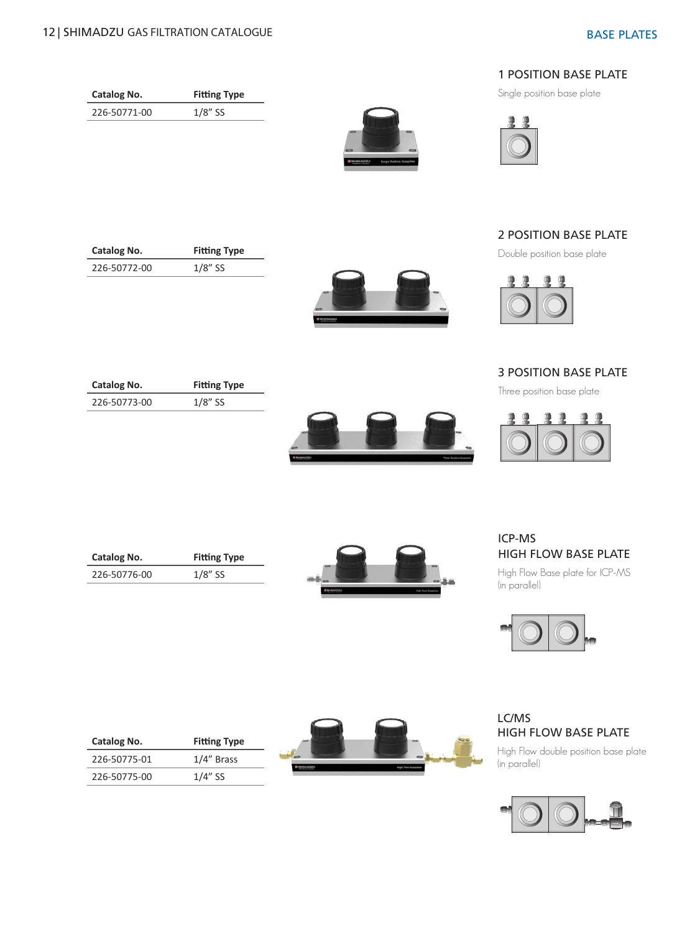**Catalog No. Fitting Type** 226-50771-00 1/8" SS

**Catalog No. Fitting Type** 226-50772-00 1/8" SS

**Catalog No. Fitting Type** 226-50773-00 1/8" SS





Single position base plate



# 2 POSITION BASE PLATE

Double position base plate



# 3 POSITION BASE PLATE

Three position base plate



**Catalog No. Fitting Type** 226-50776-00 1/8" SS



# ICP-MS HIGH FLOW BASE PLATE

High Flow Base plate for ICP-MS (in parallel)



# LC/MS HIGH FLOW BASE PLATE

High Flow double position base plate (in parallel)



| Catalog No.  | <b>Fitting Type</b> |
|--------------|---------------------|
| 226-50775-01 | $1/4$ " Brass       |
| 226-50775-00 | $1/4$ " SS          |

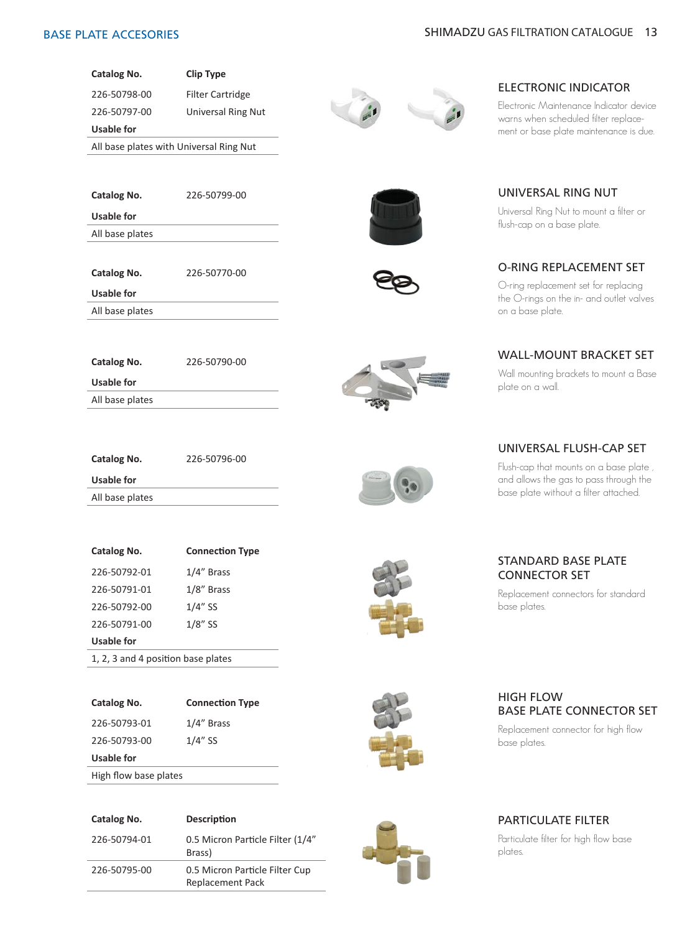

226-50797-00 Universal Ring Nut

**Usable for**

All base plates with Universal Ring Nut

| Catalog No. | $226 - 5$ |
|-------------|-----------|

**Catalog No.** 226-50799-00

**Catalog No.** 226-50790-00

All base plates

**Usable for**

**Catalog No.** 226-50770-00

**Usable for**

**Usable for** All base plates

All base plates

| Catalog No.     | 226-50796-00 |
|-----------------|--------------|
| Usable for      |              |
| All base plates |              |

| Catalog No.                        | <b>Connection Type</b> |  |
|------------------------------------|------------------------|--|
| 226-50792-01                       | 1/4" Brass             |  |
| 226-50791-01                       | 1/8" Brass             |  |
| 226-50792-00                       | $1/4"$ SS              |  |
| 226-50791-00                       | $1/8$ " SS             |  |
| Usable for                         |                        |  |
| 1, 2, 3 and 4 position base plates |                        |  |

| Catalog No.  | <b>Connection Type</b> |
|--------------|------------------------|
| 226-50793-01 | 1/4" Brass             |
| 226-50793-00 | $1/4$ " SS             |
| Usable for   |                        |

High flow base plates

| Catalog No.  | <b>Description</b>                                        |
|--------------|-----------------------------------------------------------|
| 226-50794-01 | 0.5 Micron Particle Filter (1/4"<br>Brass)                |
| 226-50795-00 | 0.5 Micron Particle Filter Cup<br><b>Replacement Pack</b> |







# ELECTRONIC INDICATOR

Electronic Maintenance Indicator device warns when scheduled filter replacement or base plate maintenance is due.

UNIVERSAL RING NUT Universal Ring Nut to mount a filter or

flush-cap on a base plate.

# O-RING REPLACEMENT SET

O-ring replacement set for replacing the O-rings on the in- and outlet valves on a base plate.

#### WALL-MOUNT BRACKET SET

Wall mounting brackets to mount a Base plate on a wall.

# UNIVERSAL FLUSH-CAP SET

Flush-cap that mounts on a base plate , and allows the gas to pass through the base plate without a filter attached.

### STANDARD BASE PLATE CONNECTOR SET

Replacement connectors for standard base plates.



# HIGH FLOW BASE PLATE CONNECTOR SET

Replacement connector for high flow base plates.

# PARTICULATE FILTER

Particulate filter for high flow base plates.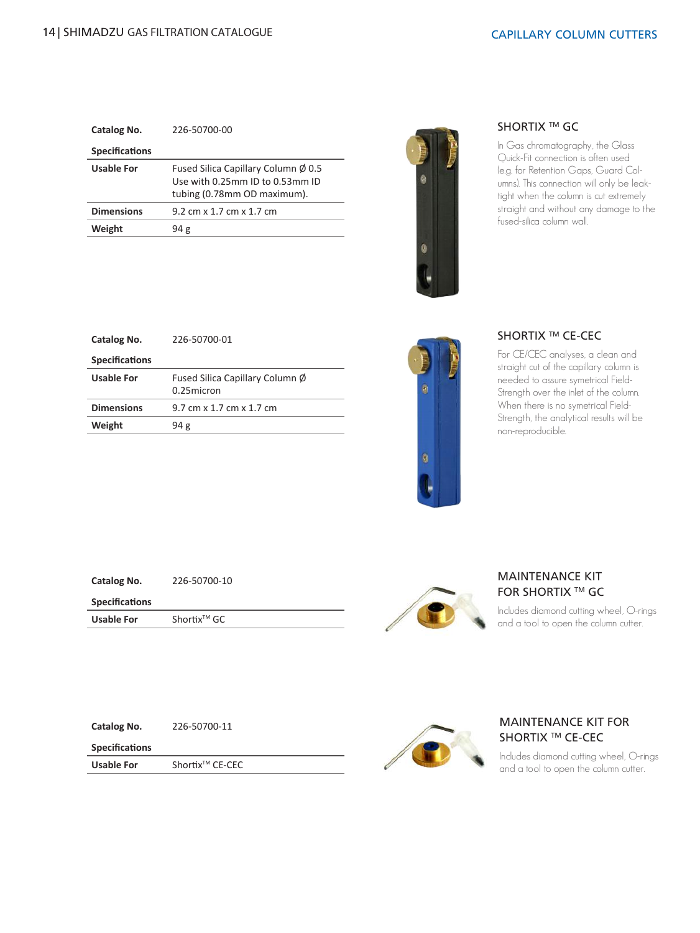| Catalog No.           | 226-50700-00                                                                                          |
|-----------------------|-------------------------------------------------------------------------------------------------------|
| <b>Specifications</b> |                                                                                                       |
| <b>Usable For</b>     | Fused Silica Capillary Column Ø 0.5<br>Use with 0.25mm ID to 0.53mm ID<br>tubing (0.78mm OD maximum). |
| <b>Dimensions</b>     | 9.2 cm x 1.7 cm x 1.7 cm                                                                              |
| Weight                | 94 g                                                                                                  |



### SHORTIX ™ GC

In Gas chromatography, the Glass Quick-Fit connection is often used (e.g. for Retention Gaps, Guard Columns). This connection will only be leaktight when the column is cut extremely straight and without any damage to the fused-silica column wall.

| Catalog No.           | 226-50700-01                                  |
|-----------------------|-----------------------------------------------|
| <b>Specifications</b> |                                               |
| Usable For            | Fused Silica Capillary Column Ø<br>0.25micron |
| <b>Dimensions</b>     | 9.7 cm x 1.7 cm x 1.7 cm                      |
| Weight                | 94g                                           |



# SHORTIX ™ CE-CEC

For CE/CEC analyses, a clean and straight cut of the capillary column is needed to assure symetrical Field-Strength over the inlet of the column. When there is no symetrical Field-Strength, the analytical results will be non-reproducible.

| Catalog No.           | 226-50700-10            |  |
|-----------------------|-------------------------|--|
| <b>Specifications</b> |                         |  |
| <b>Usable For</b>     | Shortix <sup>™</sup> GC |  |



### MAINTENANCE KIT **FOR SHORTIX ™ GC**

Includes diamond cutting wheel, O-rings and a tool to open the column cutter.

**Catalog No.** 226-50700-11

**Specifications**

**Usable For** Shortix<sup>™</sup> CE-CEC





### MAINTENANCE KIT FOR SHORTIX ™ CE-CEC

Includes diamond cutting wheel, O-rings and a tool to open the column cutter.